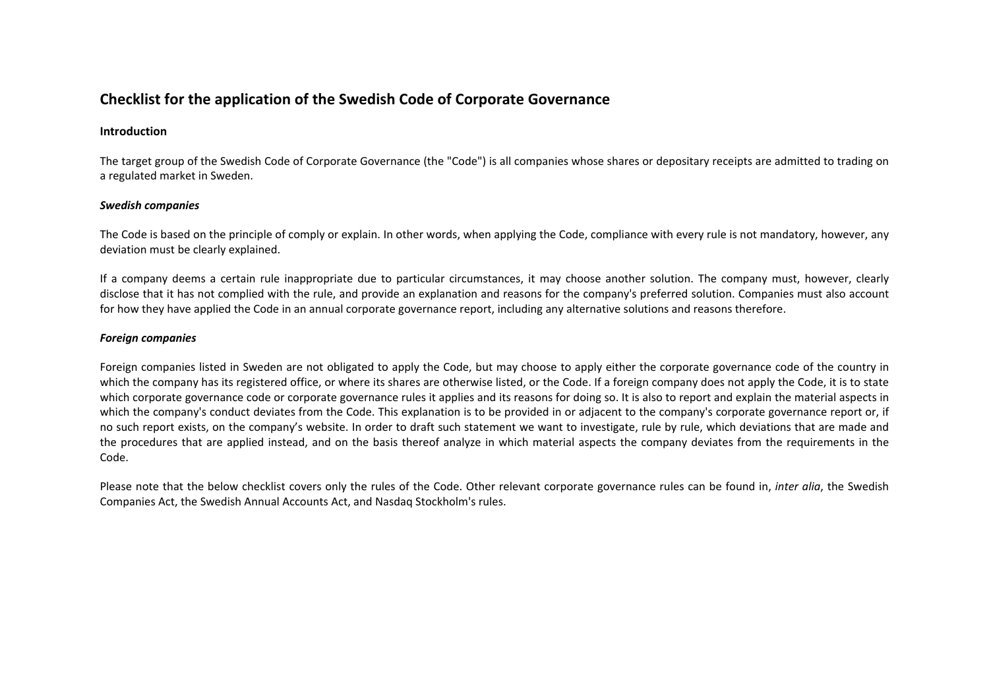# **Checklist for the application of the Swedish Code of Corporate Governance**

## **Introduction**

The target group of the Swedish Code of Corporate Governance (the "Code") is all companies whose shares or depositary receipts are admitted to trading on a regulated market in Sweden.

## *Swedish companies*

The Code is based on the principle of comply or explain. In other words, when applying the Code, compliance with every rule is not mandatory, however, any deviation must be clearly explained.

If a company deems <sup>a</sup> certain rule inappropriate due to particular circumstances, it may choose another solution. The company must, however, clearly disclose that it has not complied with the rule, and provide an explanation and reasons for the company's preferred solution. Companies must also account for how they have applied the Code in an annual corporate governance report, including any alternative solutions and reasons therefore.

## *Foreign companies*

Foreign companies listed in Sweden are not obligated to apply the Code, but may choose to apply either the corporate governance code of the country in which the company has its registered office, or where its shares are otherwise listed, or the Code. If <sup>a</sup> foreign company does not apply the Code, it is to state which corporate governance code or corporate governance rules it applies and its reasons for doing so. It is also to report and explain the material aspects in which the company's conduct deviates from the Code. This explanation is to be provided in or adjacent to the company's corporate governance report or, if no such report exists, on the company's website. In order to draft such statement we want to investigate, rule by rule, which deviations that are made and the procedures that are applied instead, and on the basis thereof analyze in which material aspects the company deviates from the requirements in the Code.

Please note that the below checklist covers only the rules of the Code. Other relevant corporate governance rules can be found in, *inter alia*, the Swedish Companies Act, the Swedish Annual Accounts Act, and Nasdaq Stockholm's rules.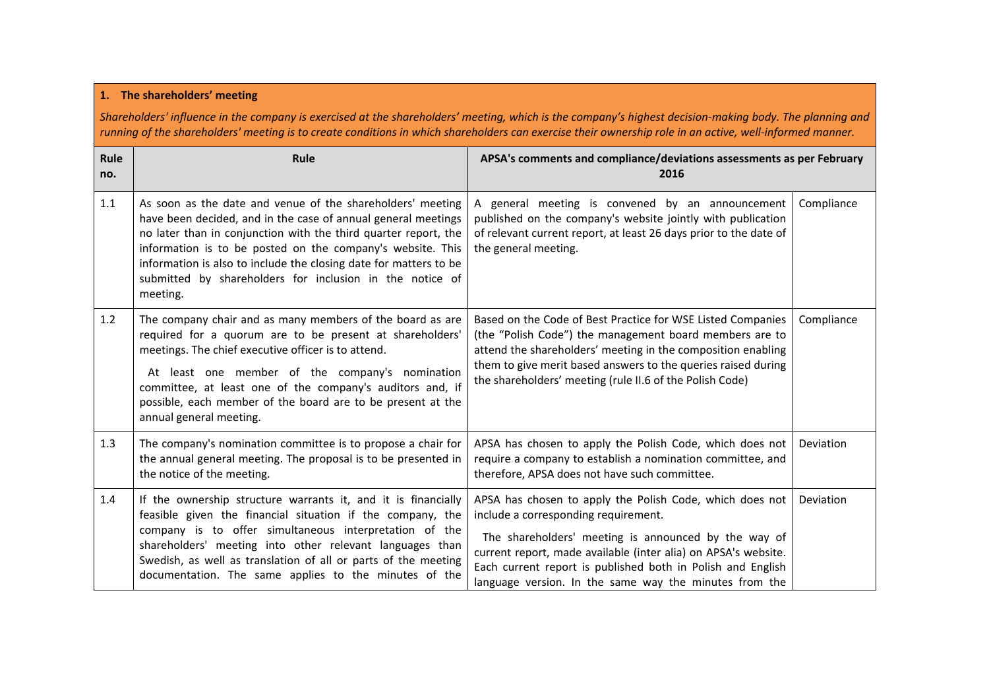### **1. The shareholders' meeting**

Shareholders' influence in the company is exercised at the shareholders' meeting, which is the company's highest decision-making body. The planning and running of the shareholders' meeting is to create conditions in which shareholders can exercise their ownership role in an active, well-informed manner.

| Rule<br>no. | Rule                                                                                                                                                                                                                                                                                                                                                                                                      | APSA's comments and compliance/deviations assessments as per February<br>2016                                                                                                                                                                                                                                                                       |            |
|-------------|-----------------------------------------------------------------------------------------------------------------------------------------------------------------------------------------------------------------------------------------------------------------------------------------------------------------------------------------------------------------------------------------------------------|-----------------------------------------------------------------------------------------------------------------------------------------------------------------------------------------------------------------------------------------------------------------------------------------------------------------------------------------------------|------------|
| 1.1         | As soon as the date and venue of the shareholders' meeting<br>have been decided, and in the case of annual general meetings<br>no later than in conjunction with the third quarter report, the<br>information is to be posted on the company's website. This<br>information is also to include the closing date for matters to be<br>submitted by shareholders for inclusion in the notice of<br>meeting. | A general meeting is convened by an announcement<br>published on the company's website jointly with publication<br>of relevant current report, at least 26 days prior to the date of<br>the general meeting.                                                                                                                                        | Compliance |
| 1.2         | The company chair and as many members of the board as are<br>required for a quorum are to be present at shareholders'<br>meetings. The chief executive officer is to attend.<br>At least one member of the company's nomination<br>committee, at least one of the company's auditors and, if<br>possible, each member of the board are to be present at the<br>annual general meeting.                    | Based on the Code of Best Practice for WSE Listed Companies<br>(the "Polish Code") the management board members are to<br>attend the shareholders' meeting in the composition enabling<br>them to give merit based answers to the queries raised during<br>the shareholders' meeting (rule II.6 of the Polish Code)                                 | Compliance |
| 1.3         | The company's nomination committee is to propose a chair for<br>the annual general meeting. The proposal is to be presented in<br>the notice of the meeting.                                                                                                                                                                                                                                              | APSA has chosen to apply the Polish Code, which does not<br>require a company to establish a nomination committee, and<br>therefore, APSA does not have such committee.                                                                                                                                                                             | Deviation  |
| 1.4         | If the ownership structure warrants it, and it is financially<br>feasible given the financial situation if the company, the<br>company is to offer simultaneous interpretation of the<br>shareholders' meeting into other relevant languages than<br>Swedish, as well as translation of all or parts of the meeting<br>documentation. The same applies to the minutes of the                              | APSA has chosen to apply the Polish Code, which does not<br>include a corresponding requirement.<br>The shareholders' meeting is announced by the way of<br>current report, made available (inter alia) on APSA's website.<br>Each current report is published both in Polish and English<br>language version. In the same way the minutes from the | Deviation  |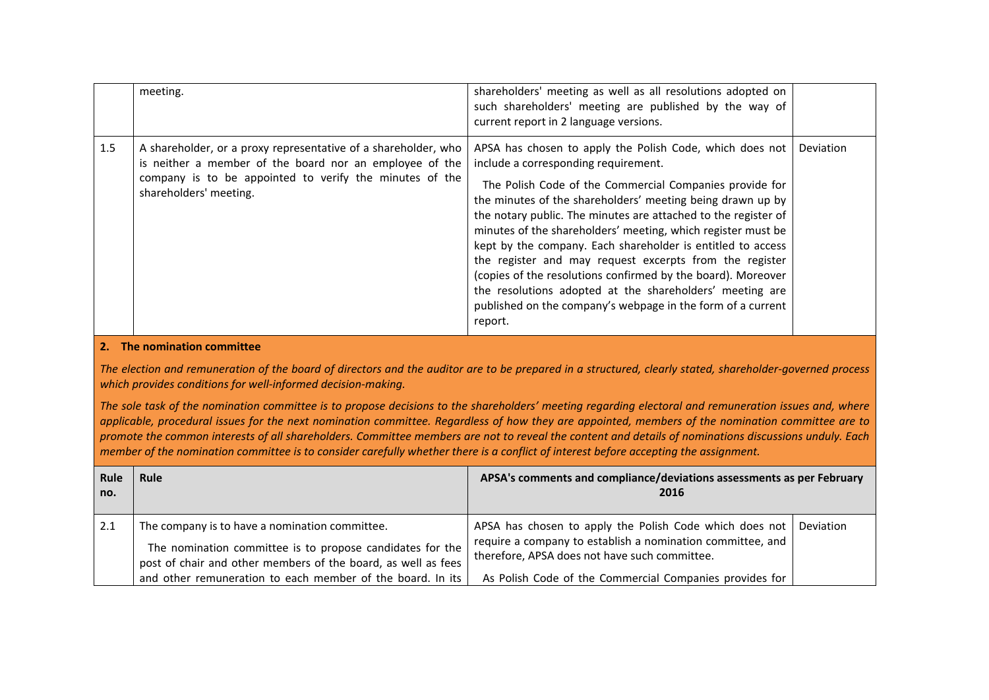|     | meeting.                                                                                                                                                                                                       | shareholders' meeting as well as all resolutions adopted on<br>such shareholders' meeting are published by the way of<br>current report in 2 language versions.                                                                                                                                                                                                                                                                                                                                                                                                                                                                                                                             |           |
|-----|----------------------------------------------------------------------------------------------------------------------------------------------------------------------------------------------------------------|---------------------------------------------------------------------------------------------------------------------------------------------------------------------------------------------------------------------------------------------------------------------------------------------------------------------------------------------------------------------------------------------------------------------------------------------------------------------------------------------------------------------------------------------------------------------------------------------------------------------------------------------------------------------------------------------|-----------|
| 1.5 | A shareholder, or a proxy representative of a shareholder, who<br>is neither a member of the board nor an employee of the<br>company is to be appointed to verify the minutes of the<br>shareholders' meeting. | APSA has chosen to apply the Polish Code, which does not<br>include a corresponding requirement.<br>The Polish Code of the Commercial Companies provide for<br>the minutes of the shareholders' meeting being drawn up by<br>the notary public. The minutes are attached to the register of<br>minutes of the shareholders' meeting, which register must be<br>kept by the company. Each shareholder is entitled to access<br>the register and may request excerpts from the register<br>(copies of the resolutions confirmed by the board). Moreover<br>the resolutions adopted at the shareholders' meeting are<br>published on the company's webpage in the form of a current<br>report. | Deviation |

### **2. The nomination committee**

The election and remuneration of the board of directors and the auditor are to be prepared in a structured, clearly stated, shareholder-governed process *which provides conditions for well‐informed decision‐making.*

The sole task of the nomination committee is to propose decisions to the shareholders' meeting regarding electoral and remuneration issues and, where applicable, procedural issues for the next nomination committee. Regardless of how they are appointed, members of the nomination committee are to promote the common interests of all shareholders. Committee members are not to reveal the content and details of nominations discussions unduly. Each member of the nomination committee is to consider carefully whether there is a conflict of interest before accepting the assignment.

| Rule<br>no. | Rule                                                                                                                        | APSA's comments and compliance/deviations assessments as per February<br>2016                                                                                          |           |
|-------------|-----------------------------------------------------------------------------------------------------------------------------|------------------------------------------------------------------------------------------------------------------------------------------------------------------------|-----------|
| 2.1         | The company is to have a nomination committee.<br>The nomination committee is to propose candidates for the                 | APSA has chosen to apply the Polish Code which does not<br>require a company to establish a nomination committee, and<br>therefore, APSA does not have such committee. | Deviation |
|             | post of chair and other members of the board, as well as fees<br>and other remuneration to each member of the board. In its | As Polish Code of the Commercial Companies provides for                                                                                                                |           |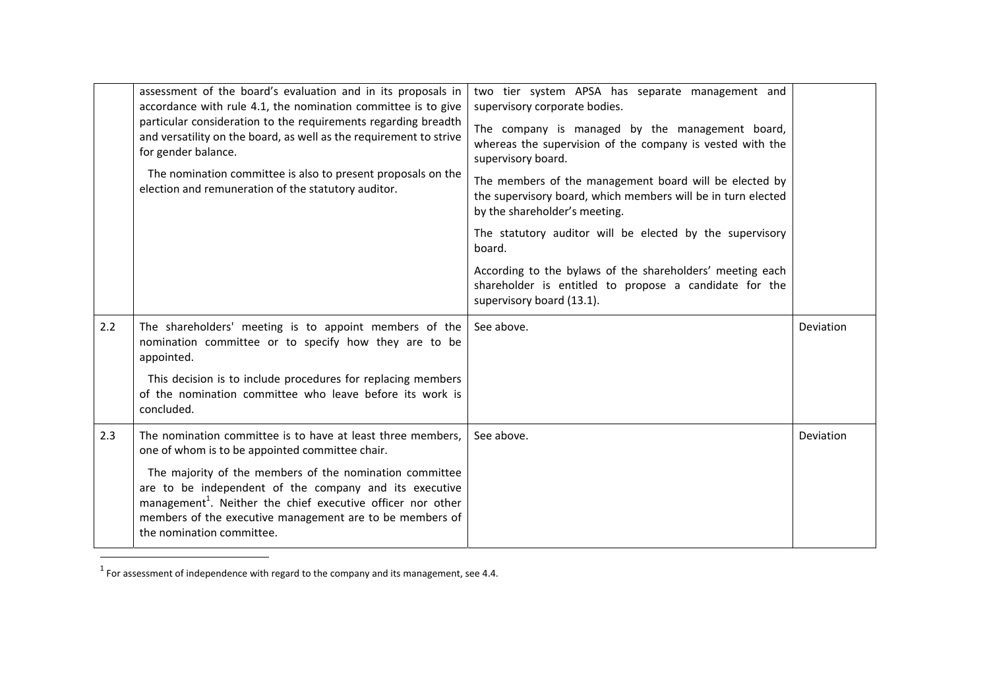|     | assessment of the board's evaluation and in its proposals in<br>accordance with rule 4.1, the nomination committee is to give<br>particular consideration to the requirements regarding breadth<br>and versatility on the board, as well as the requirement to strive<br>for gender balance.<br>The nomination committee is also to present proposals on the<br>election and remuneration of the statutory auditor. | two tier system APSA has separate management and<br>supervisory corporate bodies.<br>The company is managed by the management board,<br>whereas the supervision of the company is vested with the<br>supervisory board.<br>The members of the management board will be elected by<br>the supervisory board, which members will be in turn elected<br>by the shareholder's meeting.<br>The statutory auditor will be elected by the supervisory<br>board.<br>According to the bylaws of the shareholders' meeting each<br>shareholder is entitled to propose a candidate for the<br>supervisory board (13.1). |           |
|-----|---------------------------------------------------------------------------------------------------------------------------------------------------------------------------------------------------------------------------------------------------------------------------------------------------------------------------------------------------------------------------------------------------------------------|--------------------------------------------------------------------------------------------------------------------------------------------------------------------------------------------------------------------------------------------------------------------------------------------------------------------------------------------------------------------------------------------------------------------------------------------------------------------------------------------------------------------------------------------------------------------------------------------------------------|-----------|
| 2.2 | The shareholders' meeting is to appoint members of the<br>nomination committee or to specify how they are to be<br>appointed.                                                                                                                                                                                                                                                                                       | See above.                                                                                                                                                                                                                                                                                                                                                                                                                                                                                                                                                                                                   | Deviation |
|     | This decision is to include procedures for replacing members<br>of the nomination committee who leave before its work is<br>concluded.                                                                                                                                                                                                                                                                              |                                                                                                                                                                                                                                                                                                                                                                                                                                                                                                                                                                                                              |           |
| 2.3 | The nomination committee is to have at least three members,<br>one of whom is to be appointed committee chair.                                                                                                                                                                                                                                                                                                      | See above.                                                                                                                                                                                                                                                                                                                                                                                                                                                                                                                                                                                                   | Deviation |
|     | The majority of the members of the nomination committee<br>are to be independent of the company and its executive<br>management <sup>1</sup> . Neither the chief executive officer nor other<br>members of the executive management are to be members of<br>the nomination committee.                                                                                                                               |                                                                                                                                                                                                                                                                                                                                                                                                                                                                                                                                                                                                              |           |

 $<sup>1</sup>$  For assessment of independence with regard to the company and its management, see 4.4.</sup>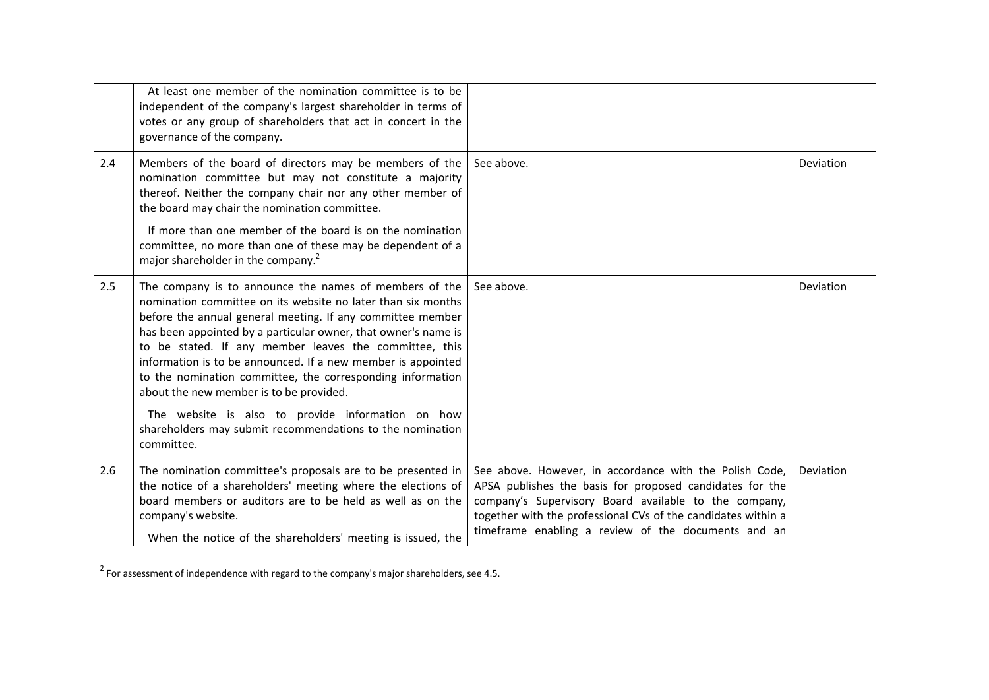|     | At least one member of the nomination committee is to be<br>independent of the company's largest shareholder in terms of<br>votes or any group of shareholders that act in concert in the<br>governance of the company.                                                                                                                                                                                                                                                                                                                                                                                                                                                     |                                                                                                                                                                                                                                                                                                      |           |
|-----|-----------------------------------------------------------------------------------------------------------------------------------------------------------------------------------------------------------------------------------------------------------------------------------------------------------------------------------------------------------------------------------------------------------------------------------------------------------------------------------------------------------------------------------------------------------------------------------------------------------------------------------------------------------------------------|------------------------------------------------------------------------------------------------------------------------------------------------------------------------------------------------------------------------------------------------------------------------------------------------------|-----------|
| 2.4 | Members of the board of directors may be members of the<br>nomination committee but may not constitute a majority<br>thereof. Neither the company chair nor any other member of<br>the board may chair the nomination committee.<br>If more than one member of the board is on the nomination<br>committee, no more than one of these may be dependent of a                                                                                                                                                                                                                                                                                                                 | See above.                                                                                                                                                                                                                                                                                           | Deviation |
| 2.5 | major shareholder in the company. <sup>2</sup><br>The company is to announce the names of members of the<br>nomination committee on its website no later than six months<br>before the annual general meeting. If any committee member<br>has been appointed by a particular owner, that owner's name is<br>to be stated. If any member leaves the committee, this<br>information is to be announced. If a new member is appointed<br>to the nomination committee, the corresponding information<br>about the new member is to be provided.<br>The website is also to provide information on how<br>shareholders may submit recommendations to the nomination<br>committee. | See above.                                                                                                                                                                                                                                                                                           | Deviation |
| 2.6 | The nomination committee's proposals are to be presented in<br>the notice of a shareholders' meeting where the elections of<br>board members or auditors are to be held as well as on the<br>company's website.<br>When the notice of the shareholders' meeting is issued, the                                                                                                                                                                                                                                                                                                                                                                                              | See above. However, in accordance with the Polish Code,<br>APSA publishes the basis for proposed candidates for the<br>company's Supervisory Board available to the company,<br>together with the professional CVs of the candidates within a<br>timeframe enabling a review of the documents and an | Deviation |

 $2$  For assessment of independence with regard to the company's major shareholders, see 4.5.

 $\sim$  10  $\pm$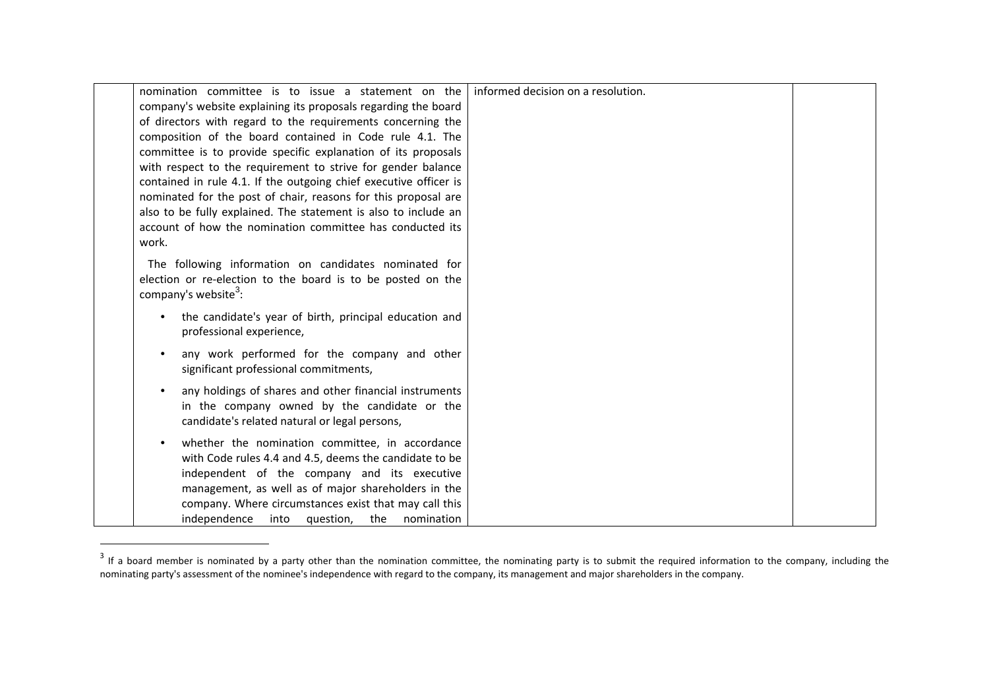| nomination committee is to issue a statement on the                                           | informed decision on a resolution. |  |
|-----------------------------------------------------------------------------------------------|------------------------------------|--|
| company's website explaining its proposals regarding the board                                |                                    |  |
| of directors with regard to the requirements concerning the                                   |                                    |  |
| composition of the board contained in Code rule 4.1. The                                      |                                    |  |
| committee is to provide specific explanation of its proposals                                 |                                    |  |
| with respect to the requirement to strive for gender balance                                  |                                    |  |
| contained in rule 4.1. If the outgoing chief executive officer is                             |                                    |  |
| nominated for the post of chair, reasons for this proposal are                                |                                    |  |
| also to be fully explained. The statement is also to include an                               |                                    |  |
| account of how the nomination committee has conducted its                                     |                                    |  |
| work.                                                                                         |                                    |  |
| The following information on candidates nominated for                                         |                                    |  |
| election or re-election to the board is to be posted on the                                   |                                    |  |
| company's website <sup>3</sup> :                                                              |                                    |  |
|                                                                                               |                                    |  |
| the candidate's year of birth, principal education and                                        |                                    |  |
| professional experience,                                                                      |                                    |  |
| any work performed for the company and other                                                  |                                    |  |
| significant professional commitments,                                                         |                                    |  |
|                                                                                               |                                    |  |
| any holdings of shares and other financial instruments                                        |                                    |  |
| in the company owned by the candidate or the<br>candidate's related natural or legal persons, |                                    |  |
|                                                                                               |                                    |  |
| whether the nomination committee, in accordance                                               |                                    |  |
| with Code rules 4.4 and 4.5, deems the candidate to be                                        |                                    |  |
| independent of the company and its executive                                                  |                                    |  |
| management, as well as of major shareholders in the                                           |                                    |  |
| company. Where circumstances exist that may call this                                         |                                    |  |
| independence<br>nomination<br>into<br>question,<br>the                                        |                                    |  |

 $3$  If a board member is nominated by a party other than the nomination committee, the nominating party is to submit the required information to the company, including the nominating party's assessment of the nominee's independence with regard to the company, its management and major shareholders in the company.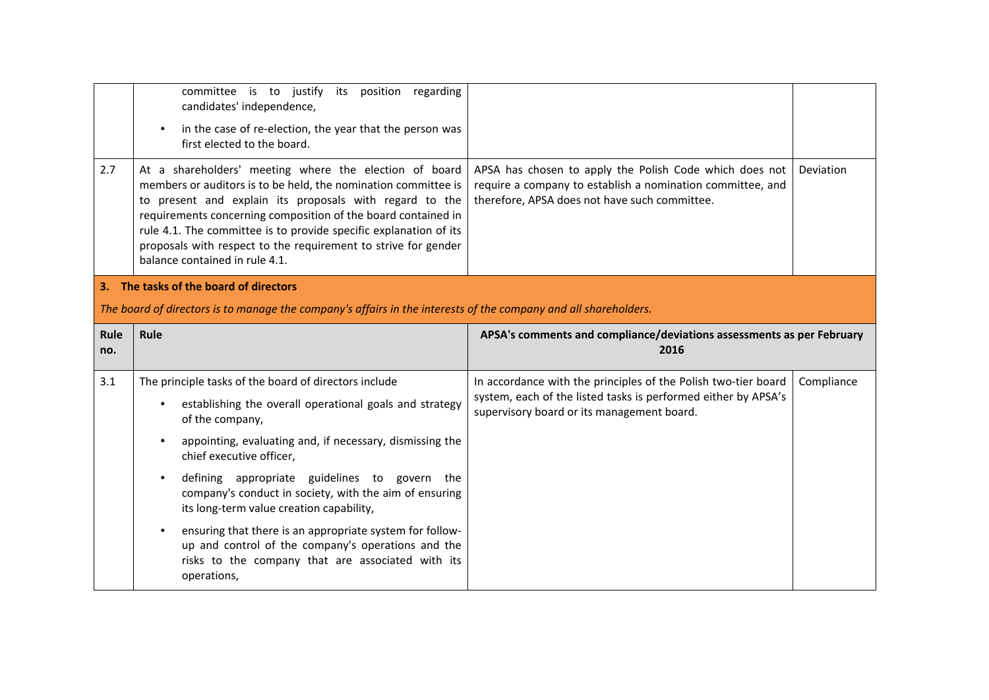|                                                                                                                 | committee is to justify its position regarding<br>candidates' independence,<br>in the case of re-election, the year that the person was<br>first elected to the board.                                                                                                                                                                                                                                                        |                                                                                                                                                                        |            |
|-----------------------------------------------------------------------------------------------------------------|-------------------------------------------------------------------------------------------------------------------------------------------------------------------------------------------------------------------------------------------------------------------------------------------------------------------------------------------------------------------------------------------------------------------------------|------------------------------------------------------------------------------------------------------------------------------------------------------------------------|------------|
| 2.7                                                                                                             | At a shareholders' meeting where the election of board<br>members or auditors is to be held, the nomination committee is<br>to present and explain its proposals with regard to the<br>requirements concerning composition of the board contained in<br>rule 4.1. The committee is to provide specific explanation of its<br>proposals with respect to the requirement to strive for gender<br>balance contained in rule 4.1. | APSA has chosen to apply the Polish Code which does not<br>require a company to establish a nomination committee, and<br>therefore, APSA does not have such committee. | Deviation  |
|                                                                                                                 | 3. The tasks of the board of directors                                                                                                                                                                                                                                                                                                                                                                                        |                                                                                                                                                                        |            |
| The board of directors is to manage the company's affairs in the interests of the company and all shareholders. |                                                                                                                                                                                                                                                                                                                                                                                                                               |                                                                                                                                                                        |            |
|                                                                                                                 |                                                                                                                                                                                                                                                                                                                                                                                                                               |                                                                                                                                                                        |            |
| Rule<br>no.                                                                                                     | Rule                                                                                                                                                                                                                                                                                                                                                                                                                          | APSA's comments and compliance/deviations assessments as per February<br>2016                                                                                          |            |
| 3.1                                                                                                             | The principle tasks of the board of directors include                                                                                                                                                                                                                                                                                                                                                                         | In accordance with the principles of the Polish two-tier board                                                                                                         | Compliance |
|                                                                                                                 | establishing the overall operational goals and strategy<br>of the company,                                                                                                                                                                                                                                                                                                                                                    | system, each of the listed tasks is performed either by APSA's<br>supervisory board or its management board.                                                           |            |
|                                                                                                                 | appointing, evaluating and, if necessary, dismissing the<br>chief executive officer,                                                                                                                                                                                                                                                                                                                                          |                                                                                                                                                                        |            |
|                                                                                                                 | defining appropriate guidelines to govern the<br>company's conduct in society, with the aim of ensuring<br>its long-term value creation capability,                                                                                                                                                                                                                                                                           |                                                                                                                                                                        |            |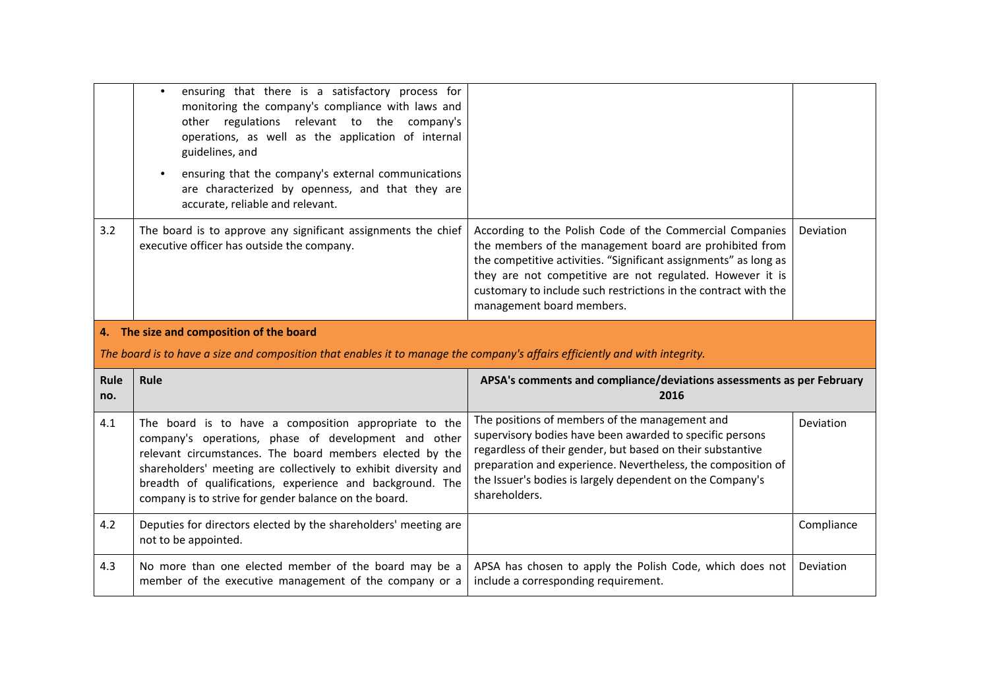|             | ensuring that there is a satisfactory process for<br>monitoring the company's compliance with laws and<br>other regulations relevant to the company's<br>operations, as well as the application of internal<br>guidelines, and<br>ensuring that the company's external communications<br>are characterized by openness, and that they are<br>accurate, reliable and relevant. |                                                                                                                                                                                                                                                                                                                                                      |            |
|-------------|-------------------------------------------------------------------------------------------------------------------------------------------------------------------------------------------------------------------------------------------------------------------------------------------------------------------------------------------------------------------------------|------------------------------------------------------------------------------------------------------------------------------------------------------------------------------------------------------------------------------------------------------------------------------------------------------------------------------------------------------|------------|
| 3.2         | The board is to approve any significant assignments the chief<br>executive officer has outside the company.                                                                                                                                                                                                                                                                   | According to the Polish Code of the Commercial Companies<br>the members of the management board are prohibited from<br>the competitive activities. "Significant assignments" as long as<br>they are not competitive are not regulated. However it is<br>customary to include such restrictions in the contract with the<br>management board members. | Deviation  |
|             |                                                                                                                                                                                                                                                                                                                                                                               |                                                                                                                                                                                                                                                                                                                                                      |            |
|             | 4. The size and composition of the board                                                                                                                                                                                                                                                                                                                                      |                                                                                                                                                                                                                                                                                                                                                      |            |
|             | The board is to have a size and composition that enables it to manage the company's affairs efficiently and with integrity.                                                                                                                                                                                                                                                   |                                                                                                                                                                                                                                                                                                                                                      |            |
| Rule<br>no. | Rule                                                                                                                                                                                                                                                                                                                                                                          | APSA's comments and compliance/deviations assessments as per February<br>2016                                                                                                                                                                                                                                                                        |            |
| 4.1         | The board is to have a composition appropriate to the<br>company's operations, phase of development and other<br>relevant circumstances. The board members elected by the<br>shareholders' meeting are collectively to exhibit diversity and<br>breadth of qualifications, experience and background. The<br>company is to strive for gender balance on the board.            | The positions of members of the management and<br>supervisory bodies have been awarded to specific persons<br>regardless of their gender, but based on their substantive<br>preparation and experience. Nevertheless, the composition of<br>the Issuer's bodies is largely dependent on the Company's<br>shareholders.                               | Deviation  |
| 4.2         | Deputies for directors elected by the shareholders' meeting are<br>not to be appointed.                                                                                                                                                                                                                                                                                       |                                                                                                                                                                                                                                                                                                                                                      | Compliance |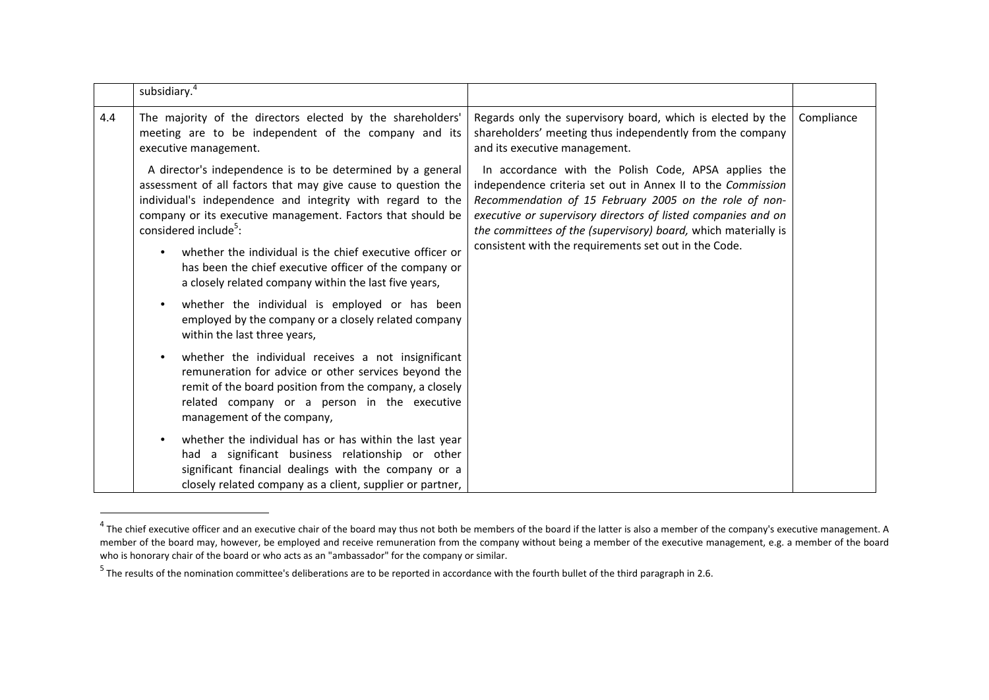|     | subsidiary. <sup>4</sup>                                                                                                                                                                                                                                                                                                                                                                                                                                                     |                                                                                                                                                                                                                                                                                                                                                                           |            |
|-----|------------------------------------------------------------------------------------------------------------------------------------------------------------------------------------------------------------------------------------------------------------------------------------------------------------------------------------------------------------------------------------------------------------------------------------------------------------------------------|---------------------------------------------------------------------------------------------------------------------------------------------------------------------------------------------------------------------------------------------------------------------------------------------------------------------------------------------------------------------------|------------|
| 4.4 | The majority of the directors elected by the shareholders'<br>meeting are to be independent of the company and its<br>executive management.                                                                                                                                                                                                                                                                                                                                  | Regards only the supervisory board, which is elected by the<br>shareholders' meeting thus independently from the company<br>and its executive management.                                                                                                                                                                                                                 | Compliance |
|     | A director's independence is to be determined by a general<br>assessment of all factors that may give cause to question the<br>individual's independence and integrity with regard to the<br>company or its executive management. Factors that should be<br>considered include <sup>5</sup> :<br>whether the individual is the chief executive officer or<br>has been the chief executive officer of the company or<br>a closely related company within the last five years, | In accordance with the Polish Code, APSA applies the<br>independence criteria set out in Annex II to the Commission<br>Recommendation of 15 February 2005 on the role of non-<br>executive or supervisory directors of listed companies and on<br>the committees of the (supervisory) board, which materially is<br>consistent with the requirements set out in the Code. |            |
|     | whether the individual is employed or has been<br>$\bullet$<br>employed by the company or a closely related company<br>within the last three years,                                                                                                                                                                                                                                                                                                                          |                                                                                                                                                                                                                                                                                                                                                                           |            |
|     | whether the individual receives a not insignificant<br>remuneration for advice or other services beyond the<br>remit of the board position from the company, a closely<br>related company or a person in the executive<br>management of the company,                                                                                                                                                                                                                         |                                                                                                                                                                                                                                                                                                                                                                           |            |
|     | whether the individual has or has within the last year<br>had a significant business relationship or other<br>significant financial dealings with the company or a<br>closely related company as a client, supplier or partner,                                                                                                                                                                                                                                              |                                                                                                                                                                                                                                                                                                                                                                           |            |

 $^4$  The chief executive officer and an executive chair of the board may thus not both be members of the board if the latter is also a member of the company's executive management. A member of the board may, however, be employed and receive remuneration from the company without being <sup>a</sup> member of the executive management, e.g. <sup>a</sup> member of the board who is honorary chair of the board or who acts as an "ambassador" for the company or similar.

<sup>&</sup>lt;sup>5</sup> The results of the nomination committee's deliberations are to be reported in accordance with the fourth bullet of the third paragraph in 2.6.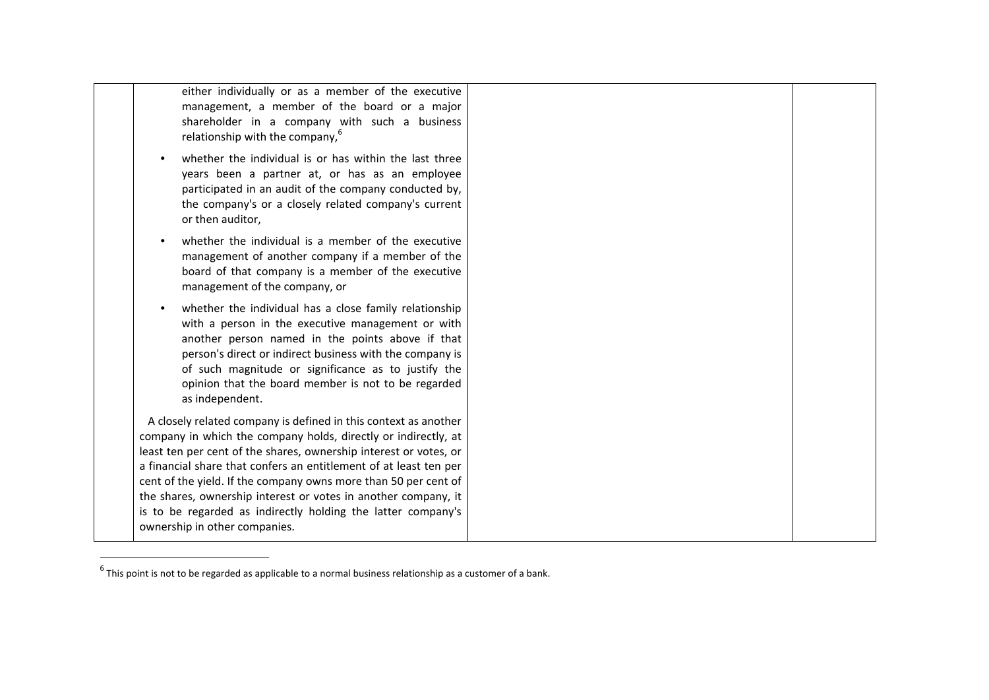either individually or as <sup>a</sup> member of the executive management, <sup>a</sup> member of the board or <sup>a</sup> major shareholder in <sup>a</sup> company with such <sup>a</sup> business relationship with the company, $6$ 

- whether the individual is or has within the last three years been <sup>a</sup> partner at, or has as an employee participated in an audit of the company conducted by, the company's or <sup>a</sup> closely related company's current or then auditor,
- whether the individual is <sup>a</sup> member of the executive management of another company if <sup>a</sup> member of the board of that company is <sup>a</sup> member of the executive management of the company, or
- whether the individual has <sup>a</sup> close family relationship with <sup>a</sup> person in the executive management or with another person named in the points above if that person's direct or indirect business with the company is of such magnitude or significance as to justify the opinion that the board member is not to be regarded as independent.

A closely related company is defined in this context as another company in which the company holds, directly or indirectly, at least ten per cent of the shares, ownership interest or votes, or a financial share that confers an entitlement of at least ten per cent of the yield. If the company owns more than 50 per cent of the shares, ownership interest or votes in another company, it is to be regarded as indirectly holding the latter company's ownership in other companies.

 $^6$  This point is not to be regarded as applicable to a normal business relationship as a customer of a bank.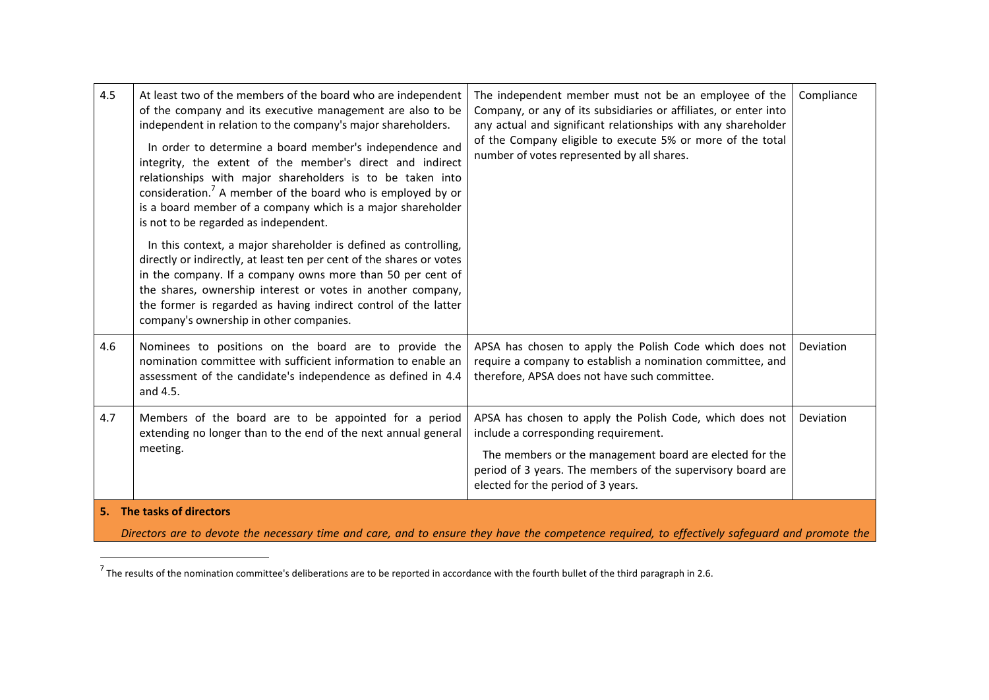| 4.5 | At least two of the members of the board who are independent<br>of the company and its executive management are also to be<br>independent in relation to the company's major shareholders.<br>In order to determine a board member's independence and<br>integrity, the extent of the member's direct and indirect<br>relationships with major shareholders is to be taken into<br>consideration. <sup>7</sup> A member of the board who is employed by or<br>is a board member of a company which is a major shareholder<br>is not to be regarded as independent.<br>In this context, a major shareholder is defined as controlling,<br>directly or indirectly, at least ten per cent of the shares or votes<br>in the company. If a company owns more than 50 per cent of<br>the shares, ownership interest or votes in another company,<br>the former is regarded as having indirect control of the latter<br>company's ownership in other companies. | The independent member must not be an employee of the<br>Company, or any of its subsidiaries or affiliates, or enter into<br>any actual and significant relationships with any shareholder<br>of the Company eligible to execute 5% or more of the total<br>number of votes represented by all shares. | Compliance |
|-----|----------------------------------------------------------------------------------------------------------------------------------------------------------------------------------------------------------------------------------------------------------------------------------------------------------------------------------------------------------------------------------------------------------------------------------------------------------------------------------------------------------------------------------------------------------------------------------------------------------------------------------------------------------------------------------------------------------------------------------------------------------------------------------------------------------------------------------------------------------------------------------------------------------------------------------------------------------|--------------------------------------------------------------------------------------------------------------------------------------------------------------------------------------------------------------------------------------------------------------------------------------------------------|------------|
| 4.6 | Nominees to positions on the board are to provide the<br>nomination committee with sufficient information to enable an<br>assessment of the candidate's independence as defined in 4.4<br>and 4.5.                                                                                                                                                                                                                                                                                                                                                                                                                                                                                                                                                                                                                                                                                                                                                       | APSA has chosen to apply the Polish Code which does not<br>require a company to establish a nomination committee, and<br>therefore, APSA does not have such committee.                                                                                                                                 | Deviation  |
| 4.7 | Members of the board are to be appointed for a period<br>extending no longer than to the end of the next annual general<br>meeting.                                                                                                                                                                                                                                                                                                                                                                                                                                                                                                                                                                                                                                                                                                                                                                                                                      | APSA has chosen to apply the Polish Code, which does not<br>include a corresponding requirement.<br>The members or the management board are elected for the<br>period of 3 years. The members of the supervisory board are<br>elected for the period of 3 years.                                       | Deviation  |
|     | 5. The tasks of directors<br>Directors are to devote the necessary time and care, and to ensure they have the competence required, to effectively safequard and promote the                                                                                                                                                                                                                                                                                                                                                                                                                                                                                                                                                                                                                                                                                                                                                                              |                                                                                                                                                                                                                                                                                                        |            |

<sup>&</sup>lt;sup>7</sup> The results of the nomination committee's deliberations are to be reported in accordance with the fourth bullet of the third paragraph in 2.6.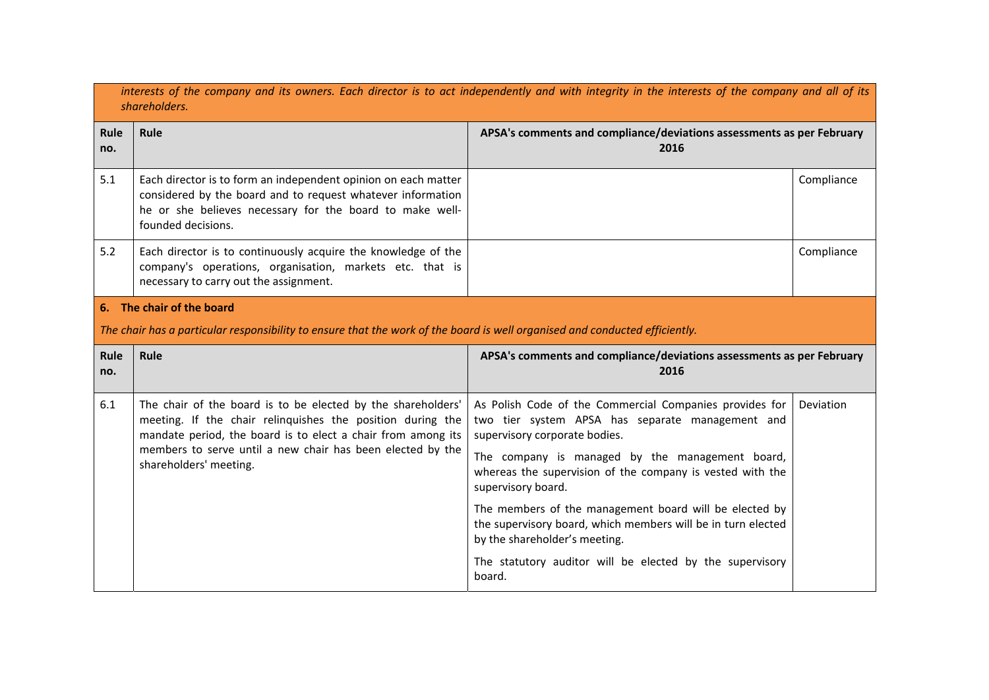|             | interests of the company and its owners. Each director is to act independently and with integrity in the interests of the company and all of its<br>shareholders.                                               |                                                                                                                                                         |            |  |
|-------------|-----------------------------------------------------------------------------------------------------------------------------------------------------------------------------------------------------------------|---------------------------------------------------------------------------------------------------------------------------------------------------------|------------|--|
| Rule<br>no. | Rule                                                                                                                                                                                                            | APSA's comments and compliance/deviations assessments as per February<br>2016                                                                           |            |  |
| 5.1         | Each director is to form an independent opinion on each matter<br>considered by the board and to request whatever information<br>he or she believes necessary for the board to make well-<br>founded decisions. |                                                                                                                                                         | Compliance |  |
| 5.2         | Each director is to continuously acquire the knowledge of the<br>company's operations, organisation, markets etc. that is<br>necessary to carry out the assignment.                                             |                                                                                                                                                         | Compliance |  |
|             | 6. The chair of the board                                                                                                                                                                                       |                                                                                                                                                         |            |  |
|             | The chair has a particular responsibility to ensure that the work of the board is well organised and conducted efficiently.                                                                                     |                                                                                                                                                         |            |  |
|             |                                                                                                                                                                                                                 | APSA's comments and compliance/deviations assessments as per February<br>2016                                                                           |            |  |
| Rule<br>no. | Rule                                                                                                                                                                                                            |                                                                                                                                                         |            |  |
| 6.1         | The chair of the board is to be elected by the shareholders'<br>meeting. If the chair relinquishes the position during the<br>mandate period, the board is to elect a chair from among its                      | As Polish Code of the Commercial Companies provides for<br>two tier system APSA has separate management and<br>supervisory corporate bodies.            | Deviation  |  |
|             | members to serve until a new chair has been elected by the<br>shareholders' meeting.                                                                                                                            | The company is managed by the management board,<br>whereas the supervision of the company is vested with the<br>supervisory board.                      |            |  |
|             |                                                                                                                                                                                                                 | The members of the management board will be elected by<br>the supervisory board, which members will be in turn elected<br>by the shareholder's meeting. |            |  |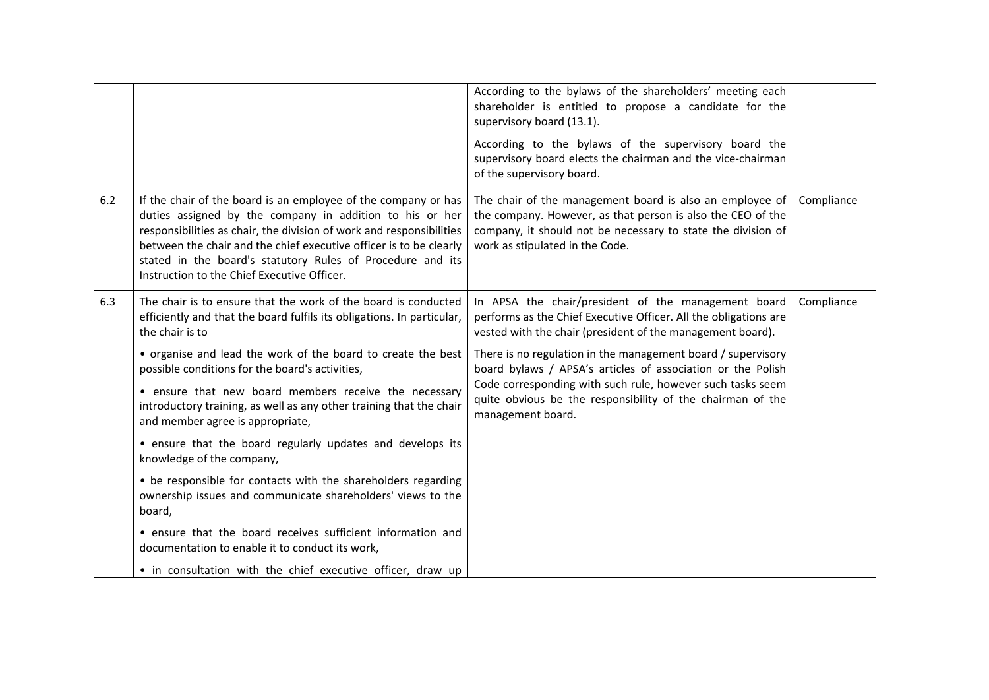|     |                                                                                                                                                                                                                                                                                                                                                                                       | According to the bylaws of the shareholders' meeting each<br>shareholder is entitled to propose a candidate for the<br>supervisory board (13.1).<br>According to the bylaws of the supervisory board the<br>supervisory board elects the chairman and the vice-chairman<br>of the supervisory board. |            |
|-----|---------------------------------------------------------------------------------------------------------------------------------------------------------------------------------------------------------------------------------------------------------------------------------------------------------------------------------------------------------------------------------------|------------------------------------------------------------------------------------------------------------------------------------------------------------------------------------------------------------------------------------------------------------------------------------------------------|------------|
| 6.2 | If the chair of the board is an employee of the company or has<br>duties assigned by the company in addition to his or her<br>responsibilities as chair, the division of work and responsibilities<br>between the chair and the chief executive officer is to be clearly<br>stated in the board's statutory Rules of Procedure and its<br>Instruction to the Chief Executive Officer. | The chair of the management board is also an employee of<br>the company. However, as that person is also the CEO of the<br>company, it should not be necessary to state the division of<br>work as stipulated in the Code.                                                                           | Compliance |
| 6.3 | The chair is to ensure that the work of the board is conducted<br>efficiently and that the board fulfils its obligations. In particular,<br>the chair is to                                                                                                                                                                                                                           | In APSA the chair/president of the management board<br>performs as the Chief Executive Officer. All the obligations are<br>vested with the chair (president of the management board).                                                                                                                | Compliance |
|     | • organise and lead the work of the board to create the best<br>possible conditions for the board's activities,                                                                                                                                                                                                                                                                       | There is no regulation in the management board / supervisory<br>board bylaws / APSA's articles of association or the Polish                                                                                                                                                                          |            |
|     | • ensure that new board members receive the necessary<br>introductory training, as well as any other training that the chair<br>and member agree is appropriate,                                                                                                                                                                                                                      | Code corresponding with such rule, however such tasks seem<br>quite obvious be the responsibility of the chairman of the<br>management board.                                                                                                                                                        |            |
|     | • ensure that the board regularly updates and develops its<br>knowledge of the company,                                                                                                                                                                                                                                                                                               |                                                                                                                                                                                                                                                                                                      |            |
|     | • be responsible for contacts with the shareholders regarding<br>ownership issues and communicate shareholders' views to the<br>board,                                                                                                                                                                                                                                                |                                                                                                                                                                                                                                                                                                      |            |
|     | • ensure that the board receives sufficient information and<br>documentation to enable it to conduct its work,                                                                                                                                                                                                                                                                        |                                                                                                                                                                                                                                                                                                      |            |
|     | • in consultation with the chief executive officer, draw up                                                                                                                                                                                                                                                                                                                           |                                                                                                                                                                                                                                                                                                      |            |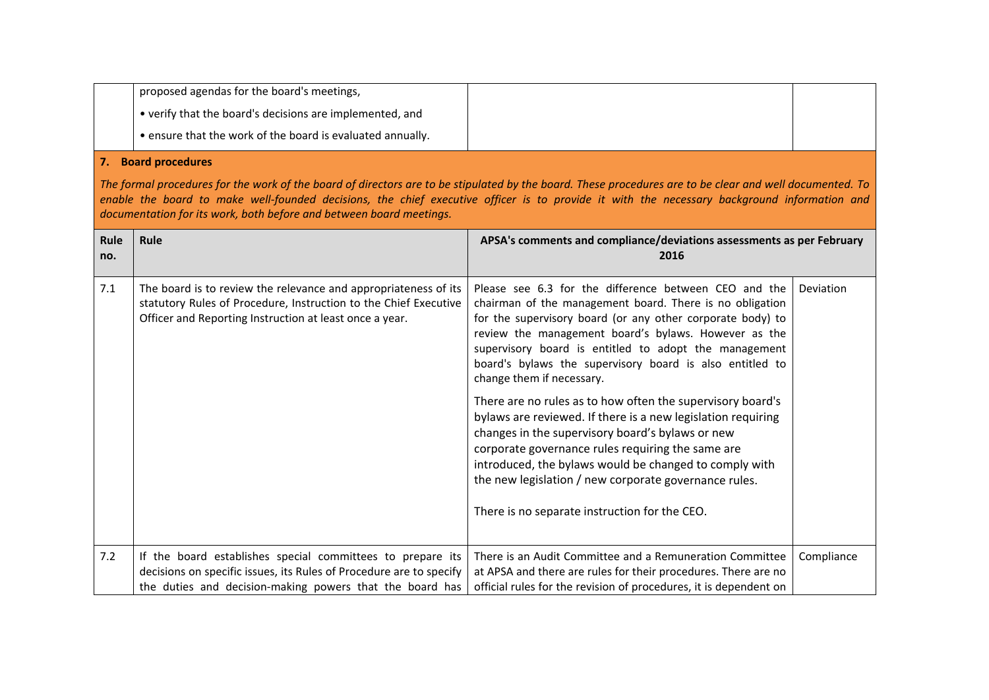| proposed agendas for the board's meetings,                 |  |
|------------------------------------------------------------|--|
| • verify that the board's decisions are implemented, and   |  |
| • ensure that the work of the board is evaluated annually. |  |

### **7. Board procedures**

The formal procedures for the work of the board of directors are to be stipulated by the board. These procedures are to be clear and well documented. To enable the board to make well-founded decisions, the chief executive officer is to provide it with the necessary background information and *documentation for its work, both before and between board meetings.*

| Rule<br>no. | Rule                                                                                                                                                                                           | APSA's comments and compliance/deviations assessments as per February<br>2016                                                                                                                                                                                                                                                                                                                                                                                                                                                                                                                                                                                                                                                                                                                        |            |
|-------------|------------------------------------------------------------------------------------------------------------------------------------------------------------------------------------------------|------------------------------------------------------------------------------------------------------------------------------------------------------------------------------------------------------------------------------------------------------------------------------------------------------------------------------------------------------------------------------------------------------------------------------------------------------------------------------------------------------------------------------------------------------------------------------------------------------------------------------------------------------------------------------------------------------------------------------------------------------------------------------------------------------|------------|
| 7.1         | The board is to review the relevance and appropriateness of its<br>statutory Rules of Procedure, Instruction to the Chief Executive<br>Officer and Reporting Instruction at least once a year. | Please see 6.3 for the difference between CEO and the<br>chairman of the management board. There is no obligation<br>for the supervisory board (or any other corporate body) to<br>review the management board's bylaws. However as the<br>supervisory board is entitled to adopt the management<br>board's bylaws the supervisory board is also entitled to<br>change them if necessary.<br>There are no rules as to how often the supervisory board's<br>bylaws are reviewed. If there is a new legislation requiring<br>changes in the supervisory board's bylaws or new<br>corporate governance rules requiring the same are<br>introduced, the bylaws would be changed to comply with<br>the new legislation / new corporate governance rules.<br>There is no separate instruction for the CEO. | Deviation  |
| 7.2         | If the board establishes special committees to prepare its<br>decisions on specific issues, its Rules of Procedure are to specify<br>the duties and decision-making powers that the board has  | There is an Audit Committee and a Remuneration Committee<br>at APSA and there are rules for their procedures. There are no<br>official rules for the revision of procedures, it is dependent on                                                                                                                                                                                                                                                                                                                                                                                                                                                                                                                                                                                                      | Compliance |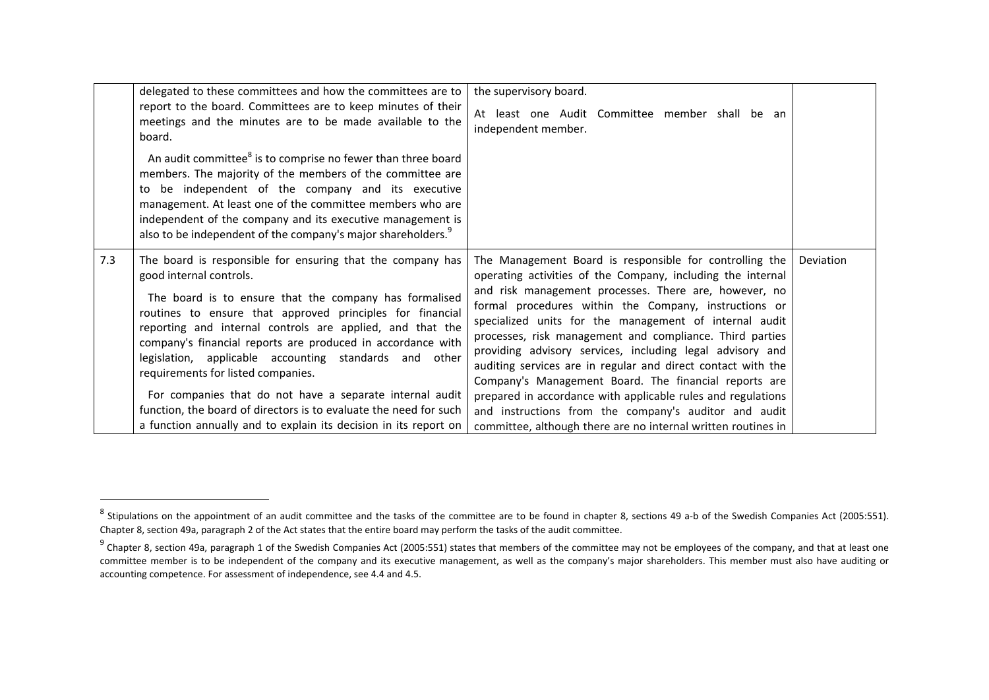|     | delegated to these committees and how the committees are to<br>report to the board. Committees are to keep minutes of their<br>meetings and the minutes are to be made available to the<br>board.<br>An audit committee <sup>8</sup> is to comprise no fewer than three board                                                                                                                                                                                                                                                                                             | the supervisory board.<br>At least one Audit Committee member shall be an<br>independent member.                                                                                                                                                                                                                                                                                                                                                                                                                                                                                                                                                                              |           |
|-----|---------------------------------------------------------------------------------------------------------------------------------------------------------------------------------------------------------------------------------------------------------------------------------------------------------------------------------------------------------------------------------------------------------------------------------------------------------------------------------------------------------------------------------------------------------------------------|-------------------------------------------------------------------------------------------------------------------------------------------------------------------------------------------------------------------------------------------------------------------------------------------------------------------------------------------------------------------------------------------------------------------------------------------------------------------------------------------------------------------------------------------------------------------------------------------------------------------------------------------------------------------------------|-----------|
|     | members. The majority of the members of the committee are<br>be independent of the company and its executive<br>to<br>management. At least one of the committee members who are<br>independent of the company and its executive management is<br>also to be independent of the company's major shareholders. <sup>9</sup>                                                                                                                                                                                                                                                 |                                                                                                                                                                                                                                                                                                                                                                                                                                                                                                                                                                                                                                                                               |           |
| 7.3 | The board is responsible for ensuring that the company has<br>good internal controls.<br>The board is to ensure that the company has formalised<br>routines to ensure that approved principles for financial<br>reporting and internal controls are applied, and that the<br>company's financial reports are produced in accordance with<br>legislation, applicable accounting standards and other<br>requirements for listed companies.<br>For companies that do not have a separate internal audit<br>function, the board of directors is to evaluate the need for such | The Management Board is responsible for controlling the<br>operating activities of the Company, including the internal<br>and risk management processes. There are, however, no<br>formal procedures within the Company, instructions or<br>specialized units for the management of internal audit<br>processes, risk management and compliance. Third parties<br>providing advisory services, including legal advisory and<br>auditing services are in regular and direct contact with the<br>Company's Management Board. The financial reports are<br>prepared in accordance with applicable rules and regulations<br>and instructions from the company's auditor and audit | Deviation |
|     | a function annually and to explain its decision in its report on                                                                                                                                                                                                                                                                                                                                                                                                                                                                                                          | committee, although there are no internal written routines in                                                                                                                                                                                                                                                                                                                                                                                                                                                                                                                                                                                                                 |           |

 $^8$  Stipulations on the appointment of an audit committee and the tasks of the committee are to be found in chapter 8, sections 49 a-b of the Swedish Companies Act (2005:551). Chapter 8, section 49a, paragraph 2 of the Act states that the entire board may perform the tasks of the audit committee.

 $^9$  Chapter 8, section 49a, paragraph 1 of the Swedish Companies Act (2005:551) states that members of the committee may not be employees of the company, and that at least one committee member is to be independent of the company and its executive management, as well as the company's major shareholders. This member must also have auditing or accounting competence. For assessment of independence, see 4.4 and 4.5.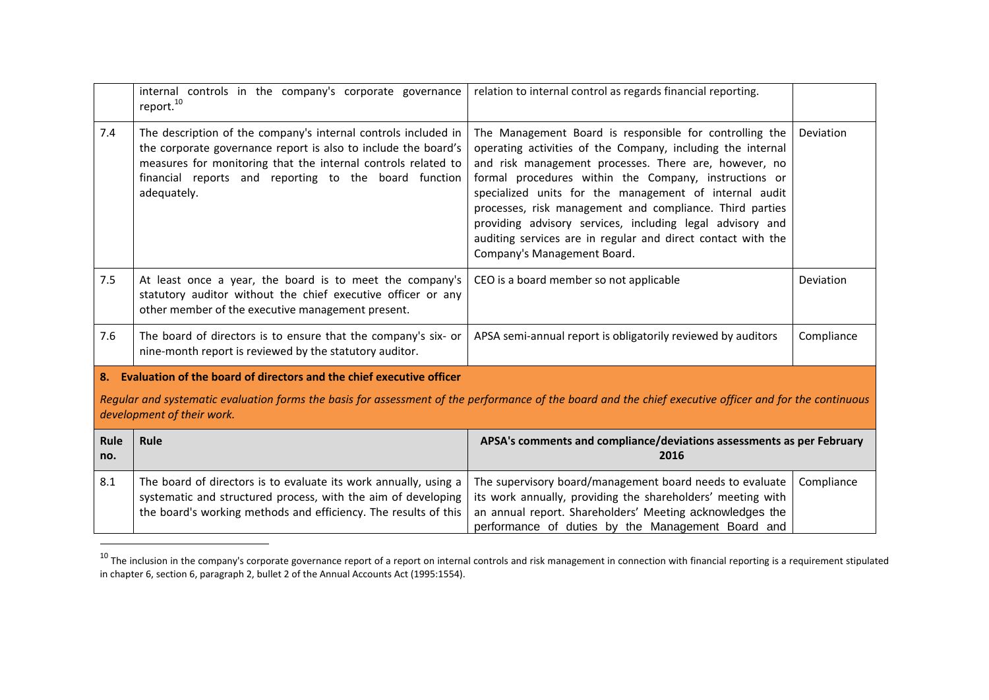|                 | internal controls in the company's corporate governance<br>report. <sup>10</sup>                                                                                                                                                                                          | relation to internal control as regards financial reporting.                                                                                                                                                                                                                                                                                                                                                                                                                                                               |            |  |
|-----------------|---------------------------------------------------------------------------------------------------------------------------------------------------------------------------------------------------------------------------------------------------------------------------|----------------------------------------------------------------------------------------------------------------------------------------------------------------------------------------------------------------------------------------------------------------------------------------------------------------------------------------------------------------------------------------------------------------------------------------------------------------------------------------------------------------------------|------------|--|
| 7.4             | The description of the company's internal controls included in<br>the corporate governance report is also to include the board's<br>measures for monitoring that the internal controls related to<br>financial reports and reporting to the board function<br>adequately. | The Management Board is responsible for controlling the<br>operating activities of the Company, including the internal<br>and risk management processes. There are, however, no<br>formal procedures within the Company, instructions or<br>specialized units for the management of internal audit<br>processes, risk management and compliance. Third parties<br>providing advisory services, including legal advisory and<br>auditing services are in regular and direct contact with the<br>Company's Management Board. | Deviation  |  |
| 7.5             | At least once a year, the board is to meet the company's<br>statutory auditor without the chief executive officer or any<br>other member of the executive management present.                                                                                             | CEO is a board member so not applicable                                                                                                                                                                                                                                                                                                                                                                                                                                                                                    | Deviation  |  |
| 7.6             | The board of directors is to ensure that the company's six- or<br>nine-month report is reviewed by the statutory auditor.                                                                                                                                                 | APSA semi-annual report is obligatorily reviewed by auditors                                                                                                                                                                                                                                                                                                                                                                                                                                                               | Compliance |  |
| 8.              | Evaluation of the board of directors and the chief executive officer                                                                                                                                                                                                      |                                                                                                                                                                                                                                                                                                                                                                                                                                                                                                                            |            |  |
|                 | Regular and systematic evaluation forms the basis for assessment of the performance of the board and the chief executive officer and for the continuous<br>development of their work.                                                                                     |                                                                                                                                                                                                                                                                                                                                                                                                                                                                                                                            |            |  |
| $DI - I DI - I$ |                                                                                                                                                                                                                                                                           | A D C A L<br>santa and consultance (deviations cooperants on $\cdot$                                                                                                                                                                                                                                                                                                                                                                                                                                                       |            |  |

| Rule<br>no. | <b>Rule</b>                                                                                                                                                                                                                                                                                                                                                                                                         | APSA's comments and compliance/deviations assessments as per February<br>2016 |  |
|-------------|---------------------------------------------------------------------------------------------------------------------------------------------------------------------------------------------------------------------------------------------------------------------------------------------------------------------------------------------------------------------------------------------------------------------|-------------------------------------------------------------------------------|--|
| 8.1         | The board of directors is to evaluate its work annually, using a $\vert$ The supervisory board/management board needs to evaluate $\vert$ Compliance<br>systematic and structured process, with the aim of developing   its work annually, providing the shareholders' meeting with  <br>the board's working methods and efficiency. The results of this   an annual report. Shareholders' Meeting acknowledges the | performance of duties by the Management Board and                             |  |

 $^{10}$  The inclusion in the company's corporate governance report of a report on internal controls and risk management in connection with financial reporting is a requirement stipulated in chapter 6, section 6, paragraph 2, bullet 2 of the Annual Accounts Act (1995:1554).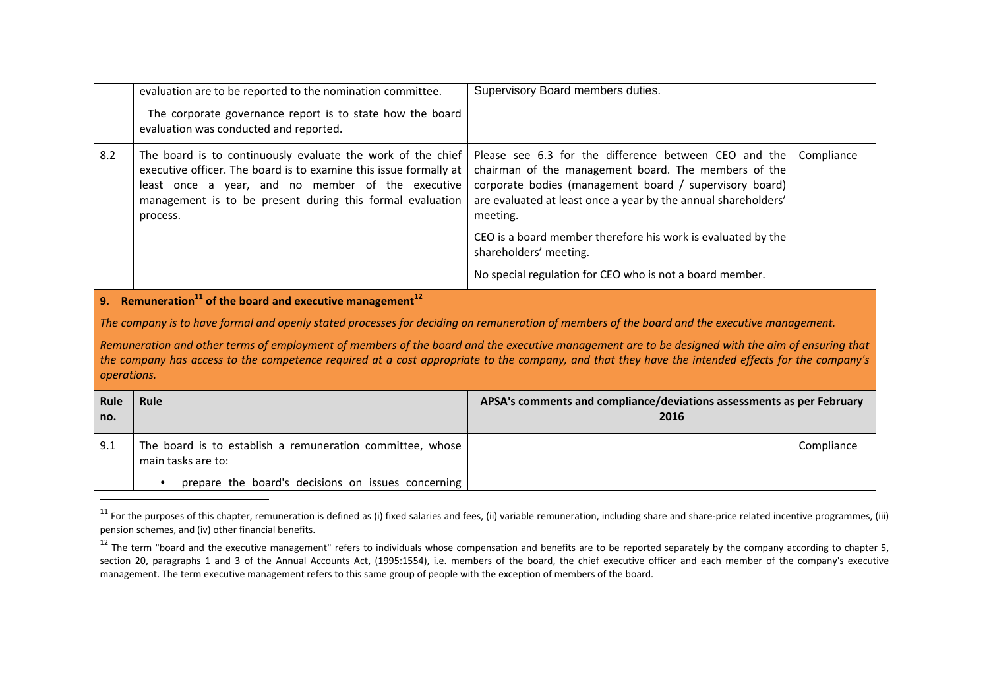|             | evaluation are to be reported to the nomination committee.                                                                                                                                                                                                                                            | Supervisory Board members duties.                                                                                                                                                                                                                      |            |
|-------------|-------------------------------------------------------------------------------------------------------------------------------------------------------------------------------------------------------------------------------------------------------------------------------------------------------|--------------------------------------------------------------------------------------------------------------------------------------------------------------------------------------------------------------------------------------------------------|------------|
|             | The corporate governance report is to state how the board<br>evaluation was conducted and reported.                                                                                                                                                                                                   |                                                                                                                                                                                                                                                        |            |
| 8.2         | The board is to continuously evaluate the work of the chief<br>executive officer. The board is to examine this issue formally at<br>least once a year, and no member of the executive<br>management is to be present during this formal evaluation<br>process.                                        | Please see 6.3 for the difference between CEO and the<br>chairman of the management board. The members of the<br>corporate bodies (management board / supervisory board)<br>are evaluated at least once a year by the annual shareholders'<br>meeting. | Compliance |
|             |                                                                                                                                                                                                                                                                                                       | CEO is a board member therefore his work is evaluated by the<br>shareholders' meeting.                                                                                                                                                                 |            |
|             |                                                                                                                                                                                                                                                                                                       | No special regulation for CEO who is not a board member.                                                                                                                                                                                               |            |
|             | 9. Remuneration <sup>11</sup> of the board and executive management <sup>12</sup>                                                                                                                                                                                                                     |                                                                                                                                                                                                                                                        |            |
|             | The company is to have formal and openly stated processes for deciding on remuneration of members of the board and the executive management.                                                                                                                                                          |                                                                                                                                                                                                                                                        |            |
| operations. | Remuneration and other terms of employment of members of the board and the executive management are to be designed with the aim of ensuring that<br>the company has access to the competence required at a cost appropriate to the company, and that they have the intended effects for the company's |                                                                                                                                                                                                                                                        |            |
| Rule<br>no. | Rule                                                                                                                                                                                                                                                                                                  | APSA's comments and compliance/deviations assessments as per February<br>2016                                                                                                                                                                          |            |
| 9.1         | The board is to establish a remuneration committee, whose<br>main tasks are to:                                                                                                                                                                                                                       |                                                                                                                                                                                                                                                        | Compliance |
|             | prepare the board's decisions on issues concerning                                                                                                                                                                                                                                                    |                                                                                                                                                                                                                                                        |            |

<sup>&</sup>lt;sup>11</sup> For the purposes of this chapter, remuneration is defined as (i) fixed salaries and fees, (ii) variable remuneration, including share and share-price related incentive programmes, (iii) pension schemes, and (iv) other financial benefits.

 $^{12}$  The term "board and the executive management" refers to individuals whose compensation and benefits are to be reported separately by the company according to chapter 5, section 20, paragraphs 1 and 3 of the Annual Accounts Act, (1995:1554), i.e. members of the board, the chief executive officer and each member of the company's executive management. The term executive management refers to this same group of people with the exception of members of the board.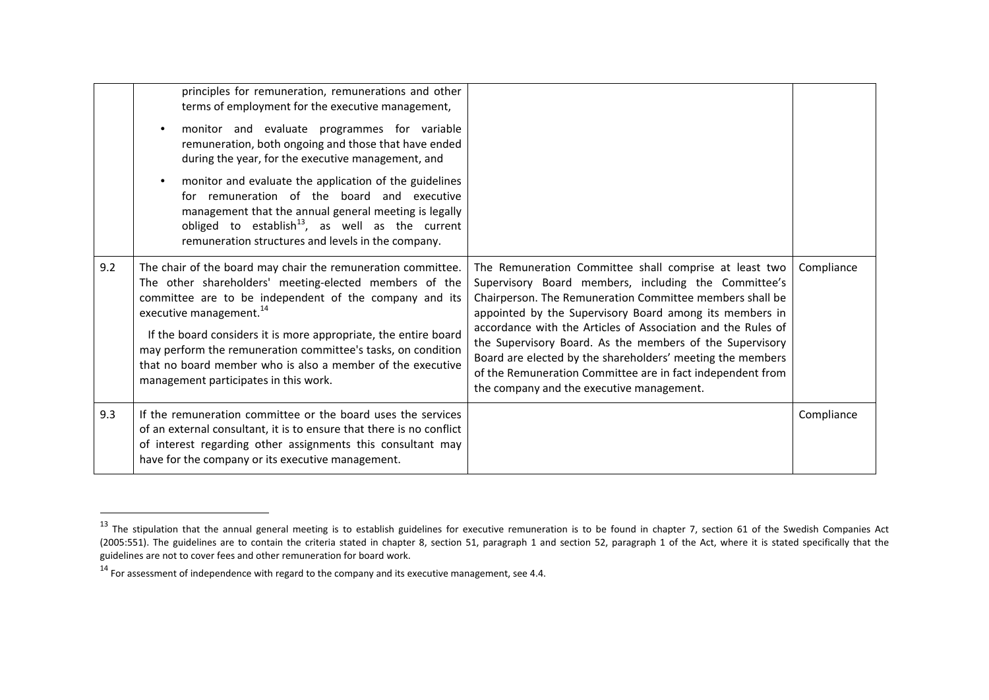|     | principles for remuneration, remunerations and other<br>terms of employment for the executive management,<br>monitor and evaluate programmes for variable<br>remuneration, both ongoing and those that have ended<br>during the year, for the executive management, and<br>monitor and evaluate the application of the guidelines<br>for remuneration of the board and executive<br>management that the annual general meeting is legally<br>obliged to establish <sup>13</sup> , as well as the current<br>remuneration structures and levels in the company. |                                                                                                                                                                                                                                                                                                                                                                                                                                                                                                                                            |            |
|-----|----------------------------------------------------------------------------------------------------------------------------------------------------------------------------------------------------------------------------------------------------------------------------------------------------------------------------------------------------------------------------------------------------------------------------------------------------------------------------------------------------------------------------------------------------------------|--------------------------------------------------------------------------------------------------------------------------------------------------------------------------------------------------------------------------------------------------------------------------------------------------------------------------------------------------------------------------------------------------------------------------------------------------------------------------------------------------------------------------------------------|------------|
| 9.2 | The chair of the board may chair the remuneration committee.<br>The other shareholders' meeting-elected members of the<br>committee are to be independent of the company and its<br>executive management. <sup>14</sup><br>If the board considers it is more appropriate, the entire board<br>may perform the remuneration committee's tasks, on condition<br>that no board member who is also a member of the executive<br>management participates in this work.                                                                                              | The Remuneration Committee shall comprise at least two<br>Supervisory Board members, including the Committee's<br>Chairperson. The Remuneration Committee members shall be<br>appointed by the Supervisory Board among its members in<br>accordance with the Articles of Association and the Rules of<br>the Supervisory Board. As the members of the Supervisory<br>Board are elected by the shareholders' meeting the members<br>of the Remuneration Committee are in fact independent from<br>the company and the executive management. | Compliance |
| 9.3 | If the remuneration committee or the board uses the services<br>of an external consultant, it is to ensure that there is no conflict<br>of interest regarding other assignments this consultant may<br>have for the company or its executive management.                                                                                                                                                                                                                                                                                                       |                                                                                                                                                                                                                                                                                                                                                                                                                                                                                                                                            | Compliance |

 $^{13}$  The stipulation that the annual general meeting is to establish guidelines for executive remuneration is to be found in chapter 7, section 61 of the Swedish Companies Act (2005:551). The guidelines are to contain the criteria stated in chapter 8, section 51, paragraph 1 and section 52, paragraph 1 of the Act, where it is stated specifically that the guidelines are not to cover fees and other remuneration for board work.

 $^{14}$  For assessment of independence with regard to the company and its executive management, see 4.4.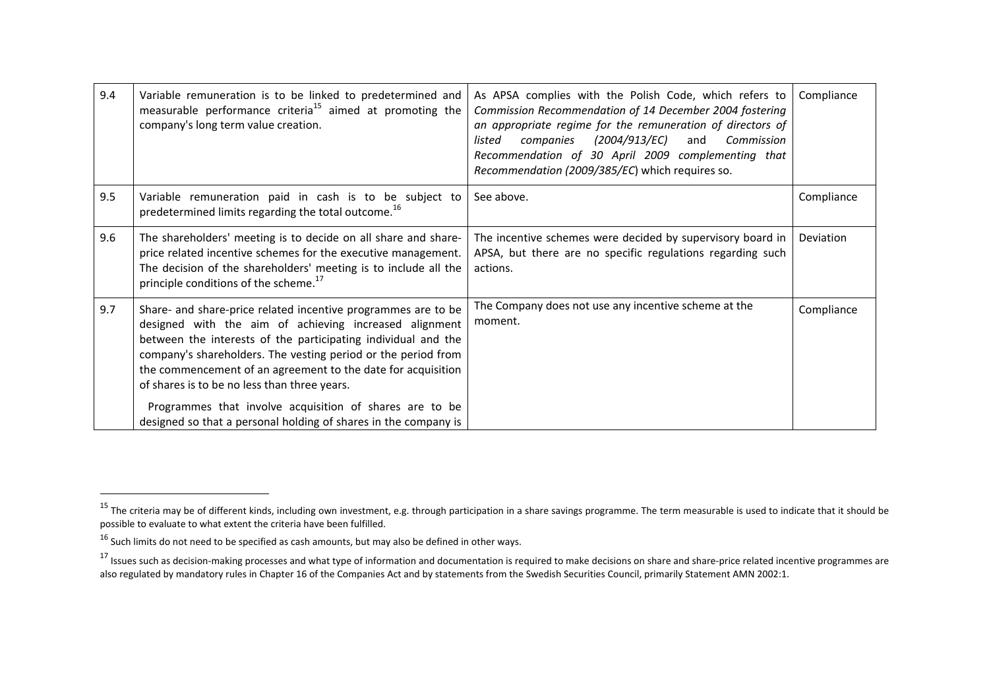| 9.4 | Variable remuneration is to be linked to predetermined and<br>measurable performance criteria <sup>15</sup> aimed at promoting the<br>company's long term value creation.                                                                                                                                                                                                                                                                                                                               | As APSA complies with the Polish Code, which refers to<br>Commission Recommendation of 14 December 2004 fostering<br>an appropriate regime for the remuneration of directors of<br>(2004/913/EC)<br>companies<br>and<br>Commission<br>listed<br>Recommendation of 30 April 2009 complementing that<br>Recommendation (2009/385/EC) which requires so. | Compliance |
|-----|---------------------------------------------------------------------------------------------------------------------------------------------------------------------------------------------------------------------------------------------------------------------------------------------------------------------------------------------------------------------------------------------------------------------------------------------------------------------------------------------------------|-------------------------------------------------------------------------------------------------------------------------------------------------------------------------------------------------------------------------------------------------------------------------------------------------------------------------------------------------------|------------|
| 9.5 | Variable remuneration paid in cash is to be subject to<br>predetermined limits regarding the total outcome. <sup>16</sup>                                                                                                                                                                                                                                                                                                                                                                               | See above.                                                                                                                                                                                                                                                                                                                                            | Compliance |
| 9.6 | The shareholders' meeting is to decide on all share and share-<br>price related incentive schemes for the executive management.<br>The decision of the shareholders' meeting is to include all the<br>principle conditions of the scheme. <sup>17</sup>                                                                                                                                                                                                                                                 | The incentive schemes were decided by supervisory board in<br>APSA, but there are no specific regulations regarding such<br>actions.                                                                                                                                                                                                                  | Deviation  |
| 9.7 | Share- and share-price related incentive programmes are to be<br>designed with the aim of achieving increased alignment<br>between the interests of the participating individual and the<br>company's shareholders. The vesting period or the period from<br>the commencement of an agreement to the date for acquisition<br>of shares is to be no less than three years.<br>Programmes that involve acquisition of shares are to be<br>designed so that a personal holding of shares in the company is | The Company does not use any incentive scheme at the<br>moment.                                                                                                                                                                                                                                                                                       | Compliance |

<sup>&</sup>lt;sup>15</sup> The criteria may be of different kinds, including own investment, e.g. through participation in a share savings programme. The term measurable is used to indicate that it should be possible to evaluate to what extent the criteria have been fulfilled.

 $^{16}$  Such limits do not need to be specified as cash amounts, but may also be defined in other ways.

<sup>&</sup>lt;sup>17</sup> Issues such as decision-making processes and what type of information and documentation is required to make decisions on share and share-price related incentive programmes are also regulated by mandatory rules in Chapter 16 of the Companies Act and by statements from the Swedish Securities Council, primarily Statement AMN 2002:1.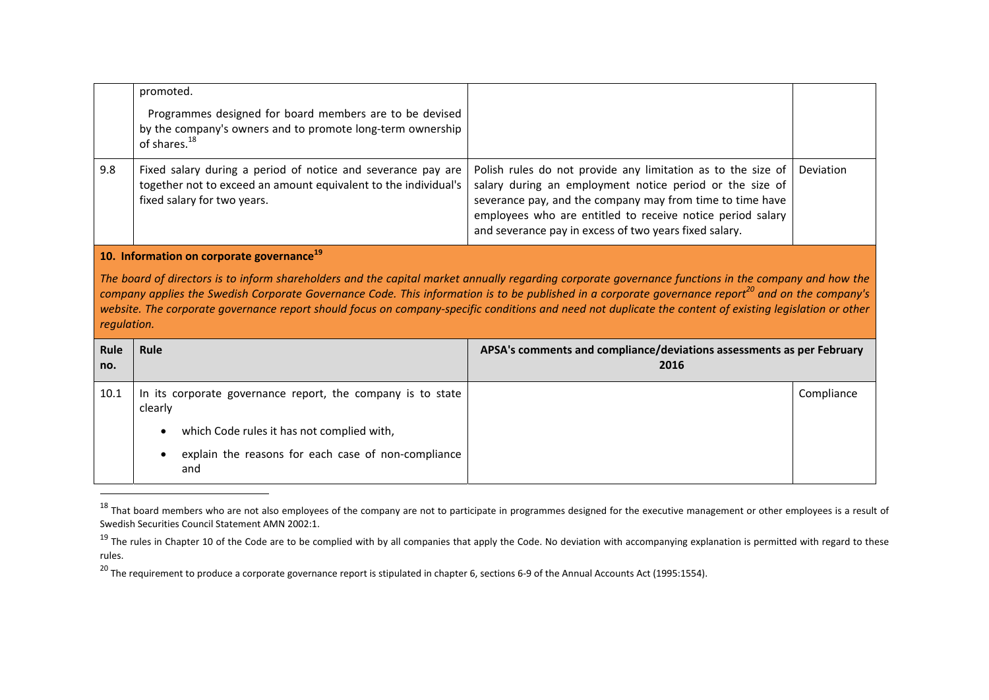|                                                                                                                                                                                                                                                                                                                                                                                 | promoted.<br>Programmes designed for board members are to be devised<br>by the company's owners and to promote long-term ownership<br>of shares. <sup>18</sup> |                                                                                                                                                                                                                                                                                                               |           |  |
|---------------------------------------------------------------------------------------------------------------------------------------------------------------------------------------------------------------------------------------------------------------------------------------------------------------------------------------------------------------------------------|----------------------------------------------------------------------------------------------------------------------------------------------------------------|---------------------------------------------------------------------------------------------------------------------------------------------------------------------------------------------------------------------------------------------------------------------------------------------------------------|-----------|--|
| 9.8                                                                                                                                                                                                                                                                                                                                                                             | Fixed salary during a period of notice and severance pay are<br>together not to exceed an amount equivalent to the individual's<br>fixed salary for two years. | Polish rules do not provide any limitation as to the size of<br>salary during an employment notice period or the size of<br>severance pay, and the company may from time to time have<br>employees who are entitled to receive notice period salary<br>and severance pay in excess of two years fixed salary. | Deviation |  |
| 10. Information on corporate governance <sup>19</sup><br>The board of directors is to inform shareholders and the capital market annually regarding corporate governance functions in the company and how the<br>company applies the Swedish Corporate Governance Code. This information is to be published in a corporate governance report <sup>20</sup> and on the company's |                                                                                                                                                                |                                                                                                                                                                                                                                                                                                               |           |  |

website. The corporate governance report should focus on company-specific conditions and need not duplicate the content of existing legislation or other *regulation.*

| Rule<br>no. | Rule                                                                    | APSA's comments and compliance/deviations assessments as per February<br>2016 |            |
|-------------|-------------------------------------------------------------------------|-------------------------------------------------------------------------------|------------|
| 10.1        | In its corporate governance report, the company is to state<br>clearly  |                                                                               | Compliance |
|             | which Code rules it has not complied with,<br>$\bullet$                 |                                                                               |            |
|             | explain the reasons for each case of non-compliance<br>$\bullet$<br>and |                                                                               |            |

 $^{18}$  That board members who are not also employees of the company are not to participate in programmes designed for the executive management or other employees is a result of Swedish Securities Council Statement AMN 2002:1.

<sup>&</sup>lt;sup>19</sup> The rules in Chapter 10 of the Code are to be complied with by all companies that apply the Code. No deviation with accompanying explanation is permitted with regard to these rules.

<sup>&</sup>lt;sup>20</sup> The requirement to produce a corporate governance report is stipulated in chapter 6, sections 6-9 of the Annual Accounts Act (1995:1554).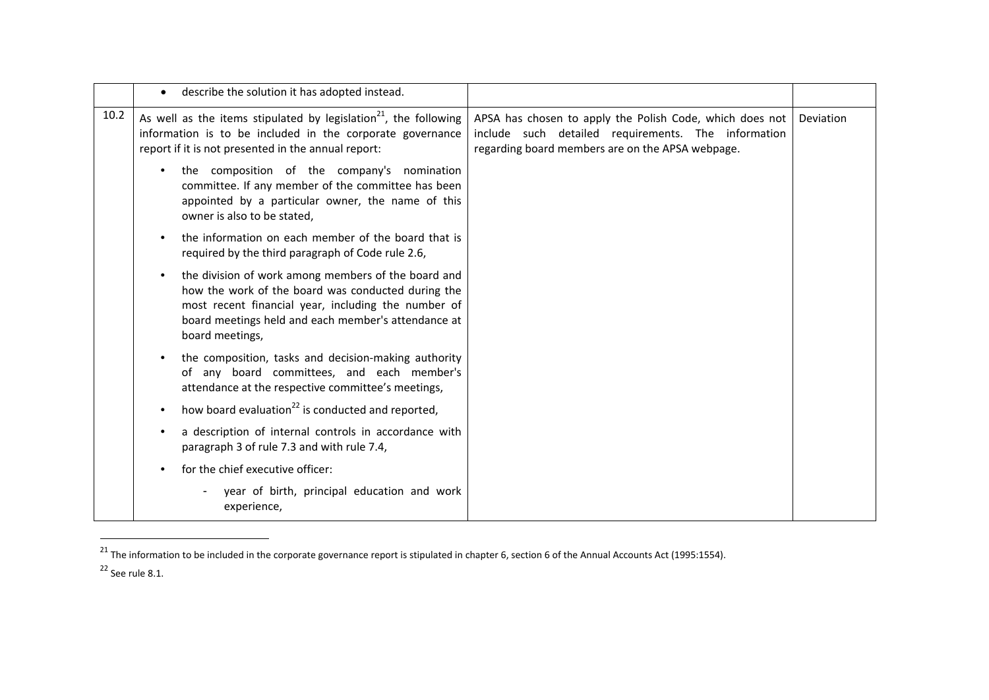|      | describe the solution it has adopted instead.                                                                                                                                                                                                           |                                                                                                                                                                     |           |
|------|---------------------------------------------------------------------------------------------------------------------------------------------------------------------------------------------------------------------------------------------------------|---------------------------------------------------------------------------------------------------------------------------------------------------------------------|-----------|
| 10.2 | As well as the items stipulated by legislation <sup>21</sup> , the following<br>information is to be included in the corporate governance<br>report if it is not presented in the annual report:                                                        | APSA has chosen to apply the Polish Code, which does not<br>include such detailed requirements. The information<br>regarding board members are on the APSA webpage. | Deviation |
|      | the composition of the company's nomination<br>committee. If any member of the committee has been<br>appointed by a particular owner, the name of this<br>owner is also to be stated,                                                                   |                                                                                                                                                                     |           |
|      | the information on each member of the board that is<br>required by the third paragraph of Code rule 2.6,                                                                                                                                                |                                                                                                                                                                     |           |
|      | the division of work among members of the board and<br>$\bullet$<br>how the work of the board was conducted during the<br>most recent financial year, including the number of<br>board meetings held and each member's attendance at<br>board meetings, |                                                                                                                                                                     |           |
|      | the composition, tasks and decision-making authority<br>of any board committees, and each member's<br>attendance at the respective committee's meetings,                                                                                                |                                                                                                                                                                     |           |
|      | how board evaluation <sup>22</sup> is conducted and reported,                                                                                                                                                                                           |                                                                                                                                                                     |           |
|      | a description of internal controls in accordance with<br>paragraph 3 of rule 7.3 and with rule 7.4,                                                                                                                                                     |                                                                                                                                                                     |           |
|      | for the chief executive officer:                                                                                                                                                                                                                        |                                                                                                                                                                     |           |
|      | year of birth, principal education and work<br>experience,                                                                                                                                                                                              |                                                                                                                                                                     |           |

 $^{21}$  The information to be included in the corporate governance report is stipulated in chapter 6, section 6 of the Annual Accounts Act (1995:1554).

<sup>22</sup> See rule 8.1.

 $\overline{\phantom{a}}$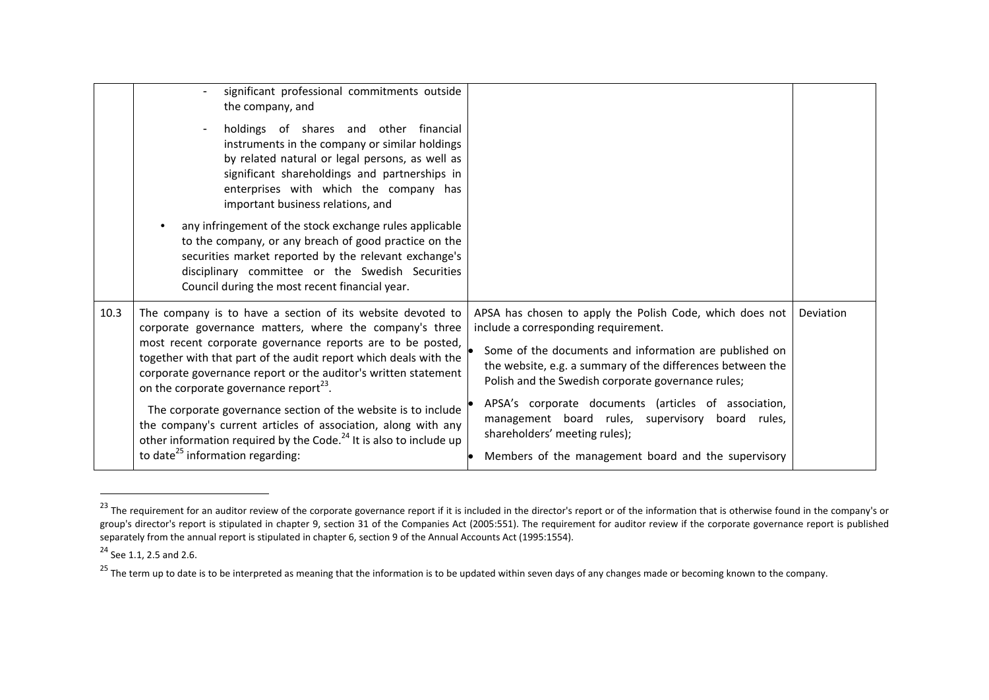|      | significant professional commitments outside<br>the company, and<br>holdings of shares and other financial<br>instruments in the company or similar holdings<br>by related natural or legal persons, as well as<br>significant shareholdings and partnerships in<br>enterprises with which the company has<br>important business relations, and                                 |                                                                                                                                                                                                                                                                                |           |
|------|---------------------------------------------------------------------------------------------------------------------------------------------------------------------------------------------------------------------------------------------------------------------------------------------------------------------------------------------------------------------------------|--------------------------------------------------------------------------------------------------------------------------------------------------------------------------------------------------------------------------------------------------------------------------------|-----------|
|      | any infringement of the stock exchange rules applicable<br>to the company, or any breach of good practice on the<br>securities market reported by the relevant exchange's<br>disciplinary committee or the Swedish Securities<br>Council during the most recent financial year.                                                                                                 |                                                                                                                                                                                                                                                                                |           |
| 10.3 | The company is to have a section of its website devoted to<br>corporate governance matters, where the company's three<br>most recent corporate governance reports are to be posted,<br>together with that part of the audit report which deals with the<br>corporate governance report or the auditor's written statement<br>on the corporate governance report <sup>23</sup> . | APSA has chosen to apply the Polish Code, which does not<br>include a corresponding requirement.<br>Some of the documents and information are published on<br>the website, e.g. a summary of the differences between the<br>Polish and the Swedish corporate governance rules; | Deviation |
|      | The corporate governance section of the website is to include<br>the company's current articles of association, along with any<br>other information required by the Code. <sup>24</sup> It is also to include up<br>to date <sup>25</sup> information regarding:                                                                                                                | APSA's corporate documents (articles of association,<br>management board rules, supervisory board rules,<br>shareholders' meeting rules);<br>Members of the management board and the supervisory                                                                               |           |

<sup>&</sup>lt;sup>23</sup> The requirement for an auditor review of the corporate governance report if it is included in the director's report or of the information that is otherwise found in the company's or group's director's report is stipulated in chapter 9, section 31 of the Companies Act (2005:551). The requirement for auditor review if the corporate governance report is published separately from the annual report is stipulated in chapter 6, section 9 of the Annual Accounts Act (1995:1554).

<sup>&</sup>lt;sup>24</sup> See 1.1, 2.5 and 2.6.

<sup>&</sup>lt;sup>25</sup> The term up to date is to be interpreted as meaning that the information is to be updated within seven days of any changes made or becoming known to the company.